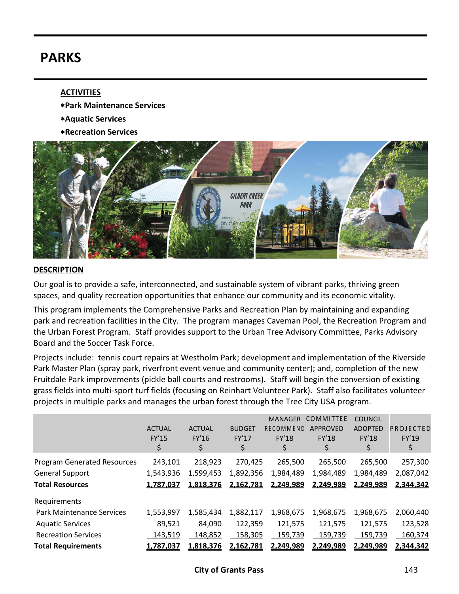# **PARKS**

### **ACTIVITIES**

- **Park Maintenance Services**
- **Aquatic Services**
- **Recreation Services**



#### **DESCRIPTION**

Our goal is to provide a safe, interconnected, and sustainable system of vibrant parks, thriving green spaces, and quality recreation opportunities that enhance our community and its economic vitality.

This program implements the Comprehensive Parks and Recreation Plan by maintaining and expanding park and recreation facilities in the City. The program manages Caveman Pool, the Recreation Program and the Urban Forest Program. Staff provides support to the Urban Tree Advisory Committee, Parks Advisory Board and the Soccer Task Force.

Projects include: tennis court repairs at Westholm Park; development and implementation of the Riverside Park Master Plan (spray park, riverfront event venue and community center); and, completion of the new Fruitdale Park improvements (pickle ball courts and restrooms). Staff will begin the conversion of existing grass fields into multi-sport turf fields (focusing on Reinhart Volunteer Park). Staff also facilitates volunteer projects in multiple parks and manages the urban forest through the Tree City USA program.

|                                                                                        | <b>ACTUAL</b><br><b>FY'15</b><br>\$ | <b>ACTUAL</b><br>FY'16<br>\$      | <b>BUDGET</b><br><b>FY'17</b><br>\$ | <b>MANAGER</b><br>RECOMMEND<br><b>FY'18</b> | COMMITTEE<br><b>APPROVED</b><br><b>FY'18</b><br>\$ | <b>COUNCIL</b><br><b>ADOPTED</b><br><b>FY'18</b><br>\$ | PROJECTED<br>FY'19<br>\$          |
|----------------------------------------------------------------------------------------|-------------------------------------|-----------------------------------|-------------------------------------|---------------------------------------------|----------------------------------------------------|--------------------------------------------------------|-----------------------------------|
| <b>Program Generated Resources</b><br><b>General Support</b><br><b>Total Resources</b> | 243,101<br>1,543,936<br>1,787,037   | 218,923<br>1,599,453<br>1,818,376 | 270,425<br>1,892,356<br>2,162,781   | 265,500<br>1,984,489<br>2,249,989           | 265,500<br>1,984,489<br>2,249,989                  | 265,500<br>1,984,489<br>2,249,989                      | 257,300<br>2,087,042<br>2,344,342 |
| Requirements                                                                           |                                     |                                   |                                     |                                             |                                                    |                                                        |                                   |
| <b>Park Maintenance Services</b>                                                       | 1,553,997                           | 1,585,434                         | 1,882,117                           | 1,968,675                                   | 1,968,675                                          | 1,968,675                                              | 2,060,440                         |
| <b>Aquatic Services</b>                                                                | 89,521                              | 84,090                            | 122,359                             | 121,575                                     | 121,575                                            | 121,575                                                | 123,528                           |
| <b>Recreation Services</b>                                                             | 143,519                             | 148,852                           | 158,305                             | 159,739                                     | 159,739                                            | 159,739                                                | 160,374                           |
| <b>Total Requirements</b>                                                              | 1,787,037                           | 1,818,376                         | 2,162,781                           | 2,249,989                                   | 2,249,989                                          | 2,249,989                                              | 2,344,342                         |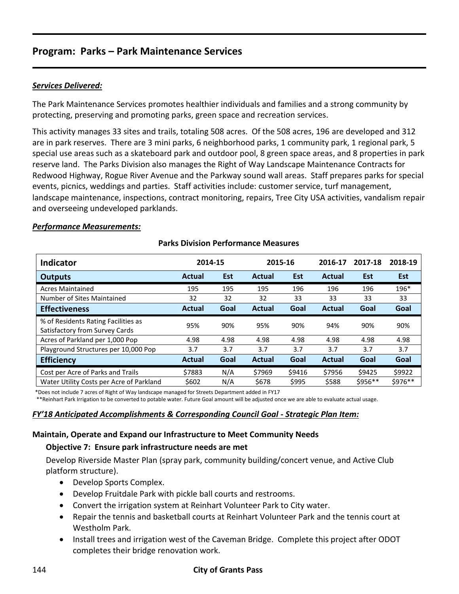# *Services Delivered:*

The Park Maintenance Services promotes healthier individuals and families and a strong community by protecting, preserving and promoting parks, green space and recreation services.

This activity manages 33 sites and trails, totaling 508 acres. Of the 508 acres, 196 are developed and 312 are in park reserves. There are 3 mini parks, 6 neighborhood parks, 1 community park, 1 regional park, 5 special use areas such as a skateboard park and outdoor pool, 8 green space areas, and 8 properties in park reserve land. The Parks Division also manages the Right of Way Landscape Maintenance Contracts for Redwood Highway, Rogue River Avenue and the Parkway sound wall areas. Staff prepares parks for special events, picnics, weddings and parties. Staff activities include: customer service, turf management, landscape maintenance, inspections, contract monitoring, repairs, Tree City USA activities, vandalism repair and overseeing undeveloped parklands.

#### *Performance Measurements:*

| <b>Indicator</b>                                                      | 2014-15       |            | 2015-16       |            | 2016-17       | 2017-18    | 2018-19    |
|-----------------------------------------------------------------------|---------------|------------|---------------|------------|---------------|------------|------------|
| Outputs                                                               | <b>Actual</b> | <b>Est</b> | Actual        | <b>Est</b> | <b>Actual</b> | <b>Est</b> | <b>Est</b> |
| <b>Acres Maintained</b>                                               | 195           | 195        | 195           | 196        | 196           | 196        | 196*       |
| Number of Sites Maintained                                            | 32            | 32         | 32            | 33         | 33            | 33         | 33         |
| <b>Effectiveness</b>                                                  | <b>Actual</b> | Goal       | Actual        | Goal       | <b>Actual</b> | Goal       | Goal       |
| % of Residents Rating Facilities as<br>Satisfactory from Survey Cards | 95%           | 90%        | 95%           | 90%        | 94%           | 90%        | 90%        |
| Acres of Parkland per 1,000 Pop                                       | 4.98          | 4.98       | 4.98          | 4.98       | 4.98          | 4.98       | 4.98       |
| Playground Structures per 10,000 Pop                                  | 3.7           | 3.7        | 3.7           | 3.7        | 3.7           | 3.7        | 3.7        |
| <b>Efficiency</b>                                                     | <b>Actual</b> | Goal       | <b>Actual</b> | Goal       | <b>Actual</b> | Goal       | Goal       |
| Cost per Acre of Parks and Trails                                     | \$7883        | N/A        | \$7969        | \$9416     | \$7956        | \$9425     | \$9922     |
| Water Utility Costs per Acre of Parkland                              | \$602         | N/A        | \$678         | \$995      | \$588         | \$956**    | \$976**    |

## **Parks Division Performance Measures**

\*Does not include 7 acres of Right of Way landscape managed for Streets Department added in FY17

\*\*Reinhart Park Irrigation to be converted to potable water. Future Goal amount will be adjusted once we are able to evaluate actual usage.

#### *FY'18 Anticipated Accomplishments & Corresponding Council Goal - Strategic Plan Item:*

#### **Maintain, Operate and Expand our Infrastructure to Meet Community Needs**

#### **Objective 7: Ensure park infrastructure needs are met**

Develop Riverside Master Plan (spray park, community building/concert venue, and Active Club platform structure).

- Develop Sports Complex.
- Develop Fruitdale Park with pickle ball courts and restrooms.
- Convert the irrigation system at Reinhart Volunteer Park to City water.
- Repair the tennis and basketball courts at Reinhart Volunteer Park and the tennis court at Westholm Park.
- Install trees and irrigation west of the Caveman Bridge. Complete this project after ODOT completes their bridge renovation work.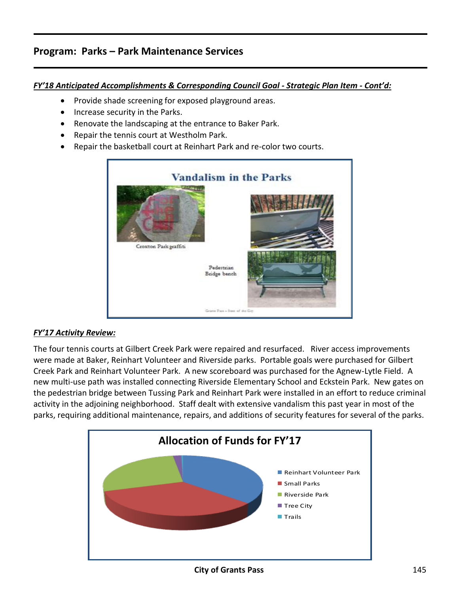## *FY'18 Anticipated Accomplishments & Corresponding Council Goal - Strategic Plan Item - Cont'd:*

- Provide shade screening for exposed playground areas.
- Increase security in the Parks.
- Renovate the landscaping at the entrance to Baker Park.
- Repair the tennis court at Westholm Park.
- Repair the basketball court at Reinhart Park and re-color two courts.



# *FY'17 Activity Review:*

The four tennis courts at Gilbert Creek Park were repaired and resurfaced. River access improvements were made at Baker, Reinhart Volunteer and Riverside parks. Portable goals were purchased for Gilbert Creek Park and Reinhart Volunteer Park. A new scoreboard was purchased for the Agnew-Lytle Field. A new multi-use path was installed connecting Riverside Elementary School and Eckstein Park. New gates on the pedestrian bridge between Tussing Park and Reinhart Park were installed in an effort to reduce criminal activity in the adjoining neighborhood. Staff dealt with extensive vandalism this past year in most of the parks, requiring additional maintenance, repairs, and additions of security features for several of the parks.

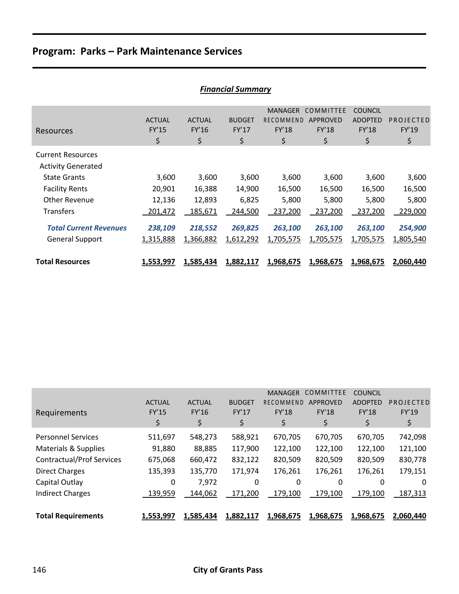|                                                         | .   ,                        |                                     |                              |                                            |                                             |                                                 |                          |  |  |
|---------------------------------------------------------|------------------------------|-------------------------------------|------------------------------|--------------------------------------------|---------------------------------------------|-------------------------------------------------|--------------------------|--|--|
| Resources                                               | <b>ACTUAL</b><br>FY'15<br>\$ | <b>ACTUAL</b><br><b>FY'16</b><br>\$ | <b>BUDGET</b><br>FY'17<br>\$ | <b>MANAGER</b><br>RECOMMEND<br>FY'18<br>\$ | COMMITTEE<br><b>APPROVED</b><br>FY'18<br>\$ | <b>COUNCIL</b><br><b>ADOPTED</b><br>FY'18<br>\$ | PROJECTED<br>FY'19<br>\$ |  |  |
| <b>Current Resources</b><br><b>Activity Generated</b>   |                              |                                     |                              |                                            |                                             |                                                 |                          |  |  |
| <b>State Grants</b>                                     | 3,600                        | 3,600                               | 3,600                        | 3,600                                      | 3,600                                       | 3,600                                           | 3,600                    |  |  |
| <b>Facility Rents</b>                                   | 20,901                       | 16,388                              | 14,900                       | 16,500                                     | 16,500                                      | 16,500                                          | 16,500                   |  |  |
| Other Revenue                                           | 12,136                       | 12,893                              | 6,825                        | 5,800                                      | 5,800                                       | 5,800                                           | 5,800                    |  |  |
| <b>Transfers</b>                                        | 201,472                      | 185,671                             | 244,500                      | 237,200                                    | 237,200                                     | 237,200                                         | 229,000                  |  |  |
| <b>Total Current Revenues</b><br><b>General Support</b> | 238,109<br>1,315,888         | 218,552<br>1,366,882                | 269,825<br>1,612,292         | 263,100<br>1,705,575                       | 263,100<br>1,705,575                        | 263,100<br>1,705,575                            | 254,900<br>1,805,540     |  |  |
| <b>Total Resources</b>                                  | 1,553,997                    | 1,585,434                           | 1,882,117                    | 1,968,675                                  | 1,968,675                                   | 1,968,675                                       | 2,060,440                |  |  |

|                                  |               |               |               | <b>MANAGER</b> | COMMITTEE       | <b>COUNCIL</b> |           |
|----------------------------------|---------------|---------------|---------------|----------------|-----------------|----------------|-----------|
|                                  | <b>ACTUAL</b> | <b>ACTUAL</b> | <b>BUDGET</b> | RECOMMEND      | <b>APPROVED</b> | <b>ADOPTED</b> | PROJECTED |
| Requirements                     | <b>FY'15</b>  | FY'16         | <b>FY'17</b>  | <b>FY'18</b>   | <b>FY'18</b>    | <b>FY'18</b>   | FY'19     |
|                                  | \$            | \$            | \$            | \$             | \$              | \$             | \$        |
| <b>Personnel Services</b>        | 511,697       | 548,273       | 588,921       | 670,705        | 670,705         | 670,705        | 742,098   |
| Materials & Supplies             | 91,880        | 88,885        | 117,900       | 122,100        | 122,100         | 122,100        | 121,100   |
| <b>Contractual/Prof Services</b> | 675,068       | 660,472       | 832,122       | 820,509        | 820,509         | 820,509        | 830,778   |
| <b>Direct Charges</b>            | 135,393       | 135,770       | 171,974       | 176,261        | 176,261         | 176,261        | 179,151   |
| Capital Outlay                   | 0             | 7,972         | 0             | 0              | 0               | 0              | 0         |
| <b>Indirect Charges</b>          | 139,959       | 144,062       | 171,200       | 179,100        | 179,100         | 179,100        | 187,313   |
|                                  |               |               |               |                |                 |                |           |
| <b>Total Requirements</b>        | 1,553,997     | 1,585,434     | 1,882,117     | 1,968,675      | 1,968,675       | 1,968,675      | 2,060,440 |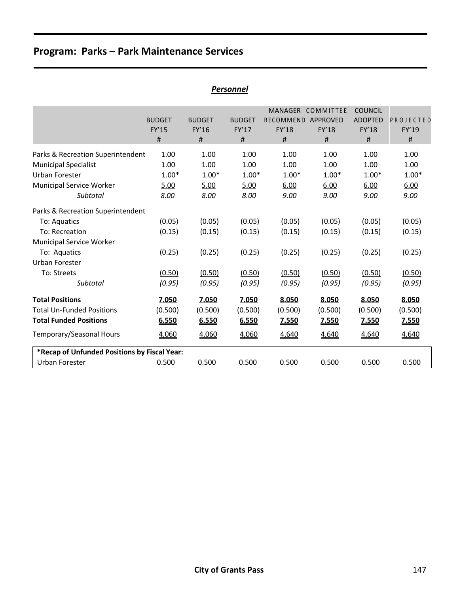|                                              |                               |                        | <b>Personnel</b>       |                                             |                                       |                                                  |                    |
|----------------------------------------------|-------------------------------|------------------------|------------------------|---------------------------------------------|---------------------------------------|--------------------------------------------------|--------------------|
|                                              | <b>BUDGET</b><br><b>FY'15</b> | <b>BUDGET</b><br>FY'16 | <b>BUDGET</b><br>FY'17 | <b>MANAGER</b><br>RECOMMEND<br><b>FY'18</b> | COMMITTEE<br>APPROVED<br><b>FY'18</b> | <b>COUNCIL</b><br><b>ADOPTED</b><br><b>FY'18</b> | PROJECTED<br>FY'19 |
|                                              | #                             | #                      | $\#$                   | #                                           | #                                     | #                                                | #                  |
| Parks & Recreation Superintendent            | 1.00                          | 1.00                   | 1.00                   | 1.00                                        | 1.00                                  | 1.00                                             | 1.00               |
| <b>Municipal Specialist</b>                  | 1.00                          | 1.00                   | 1.00                   | 1.00                                        | 1.00                                  | 1.00                                             | 1.00               |
| Urban Forester                               | $1.00*$                       | $1.00*$                | $1.00*$                | $1.00*$                                     | $1.00*$                               | $1.00*$                                          | $1.00*$            |
| Municipal Service Worker                     | 5.00                          | 5.00                   | 5.00                   | 6.00                                        | 6.00                                  | 6.00                                             | 6.00               |
| Subtotal                                     | 8.00                          | 8.00                   | 8.00                   | 9.00                                        | 9.00                                  | 9.00                                             | 9.00               |
| Parks & Recreation Superintendent            |                               |                        |                        |                                             |                                       |                                                  |                    |
| To: Aquatics                                 | (0.05)                        | (0.05)                 | (0.05)                 | (0.05)                                      | (0.05)                                | (0.05)                                           | (0.05)             |
| To: Recreation                               | (0.15)                        | (0.15)                 | (0.15)                 | (0.15)                                      | (0.15)                                | (0.15)                                           | (0.15)             |
| Municipal Service Worker                     |                               |                        |                        |                                             |                                       |                                                  |                    |
| To: Aquatics                                 | (0.25)                        | (0.25)                 | (0.25)                 | (0.25)                                      | (0.25)                                | (0.25)                                           | (0.25)             |
| Urban Forester                               |                               |                        |                        |                                             |                                       |                                                  |                    |
| To: Streets                                  | (0.50)                        | (0.50)                 | (0.50)                 | (0.50)                                      | (0.50)                                | (0.50)                                           | (0.50)             |
| Subtotal                                     | (0.95)                        | (0.95)                 | (0.95)                 | (0.95)                                      | (0.95)                                | (0.95)                                           | (0.95)             |
| <b>Total Positions</b>                       | 7.050                         | 7.050                  | 7.050                  | 8.050                                       | 8.050                                 | 8.050                                            | 8.050              |
| <b>Total Un-Funded Positions</b>             | (0.500)                       | (0.500)                | (0.500)                | (0.500)                                     | (0.500)                               | (0.500)                                          | (0.500)            |
| <b>Total Funded Positions</b>                | 6.550                         | 6.550                  | 6.550                  | <u>7.550</u>                                | 7.550                                 | 7.550                                            | <u>7.550</u>       |
| Temporary/Seasonal Hours                     | 4,060                         | 4,060                  | 4,060                  | 4,640                                       | 4,640                                 | 4,640                                            | 4,640              |
| *Recap of Unfunded Positions by Fiscal Year: |                               |                        |                        |                                             |                                       |                                                  |                    |
| Urban Forester                               | 0.500                         | 0.500                  | 0.500                  | 0.500                                       | 0.500                                 | 0.500                                            | 0.500              |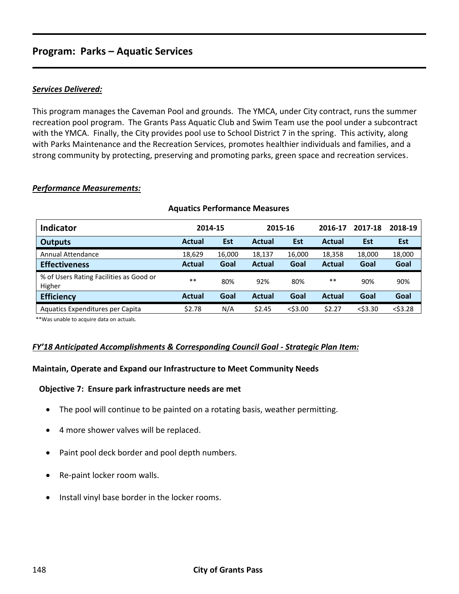## *Services Delivered:*

This program manages the Caveman Pool and grounds. The YMCA, under City contract, runs the summer recreation pool program. The Grants Pass Aquatic Club and Swim Team use the pool under a subcontract with the YMCA. Finally, the City provides pool use to School District 7 in the spring. This activity, along with Parks Maintenance and the Recreation Services, promotes healthier individuals and families, and a strong community by protecting, preserving and promoting parks, green space and recreation services.

## *Performance Measurements:*

| <b>Indicator</b>                                  |               | 2014-15    | 2015-16       |            | 2016-17       | 2017-18    | 2018-19    |
|---------------------------------------------------|---------------|------------|---------------|------------|---------------|------------|------------|
| <b>Outputs</b>                                    | <b>Actual</b> | <b>Est</b> | <b>Actual</b> | <b>Est</b> | <b>Actual</b> | <b>Est</b> | <b>Est</b> |
| Annual Attendance                                 | 18,629        | 16,000     | 18,137        | 16,000     | 18,358        | 18,000     | 18,000     |
| <b>Effectiveness</b>                              | <b>Actual</b> | Goal       | <b>Actual</b> | Goal       | Actual        | Goal       | Goal       |
| % of Users Rating Facilities as Good or<br>Higher | $***$         | 80%        | 92%           | 80%        | $***$         | 90%        | 90%        |
| <b>Efficiency</b>                                 | <b>Actual</b> | Goal       | <b>Actual</b> | Goal       | Actual        | Goal       | Goal       |
| Aquatics Expenditures per Capita                  | \$2.78        | N/A        | \$2.45        | $<$ \$3.00 | \$2.27        | $<$ \$3.30 | $<$ \$3.28 |

#### **Aquatics Performance Measures**

\*\*Was unable to acquire data on actuals.

## *FY'18 Anticipated Accomplishments & Corresponding Council Goal - Strategic Plan Item:*

## **Maintain, Operate and Expand our Infrastructure to Meet Community Needs**

#### **Objective 7: Ensure park infrastructure needs are met**

- The pool will continue to be painted on a rotating basis, weather permitting.
- 4 more shower valves will be replaced.
- Paint pool deck border and pool depth numbers.
- Re-paint locker room walls.
- Install vinyl base border in the locker rooms.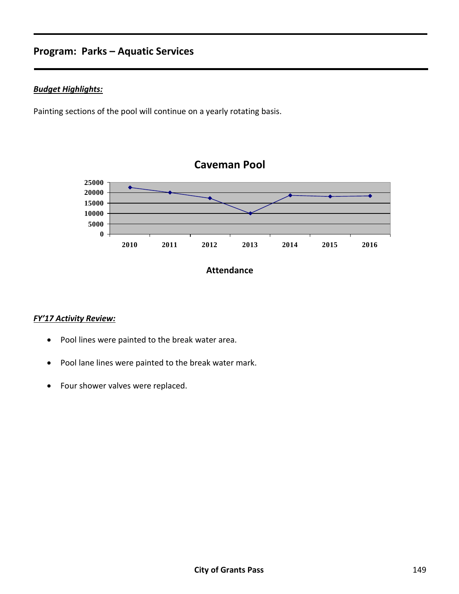## *Budget Highlights:*

Painting sections of the pool will continue on a yearly rotating basis.



### **Attendance**

# *FY'17 Activity Review:*

- Pool lines were painted to the break water area.
- Pool lane lines were painted to the break water mark.
- Four shower valves were replaced.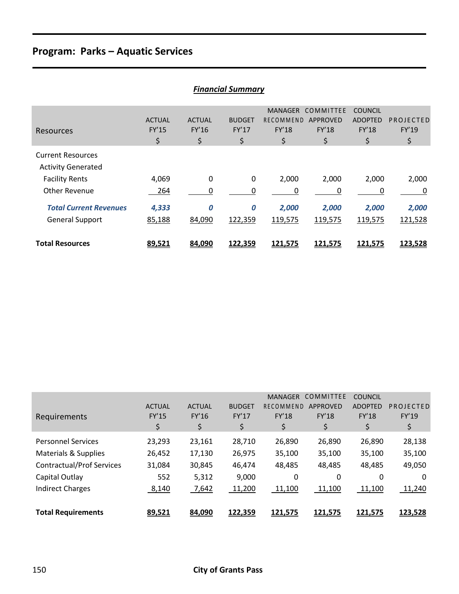| <b>Financial Summary</b>                              |                              |                                     |                              |                                                          |                                             |                                                        |                          |  |  |
|-------------------------------------------------------|------------------------------|-------------------------------------|------------------------------|----------------------------------------------------------|---------------------------------------------|--------------------------------------------------------|--------------------------|--|--|
| Resources                                             | <b>ACTUAL</b><br>FY'15<br>\$ | <b>ACTUAL</b><br><b>FY'16</b><br>\$ | <b>BUDGET</b><br>FY'17<br>\$ | <b>MANAGER</b><br><b>RECOMMEND</b><br><b>FY'18</b><br>\$ | COMMITTEE<br>APPROVED<br><b>FY'18</b><br>\$ | <b>COUNCIL</b><br><b>ADOPTED</b><br><b>FY'18</b><br>\$ | PROJECTED<br>FY'19<br>\$ |  |  |
| <b>Current Resources</b><br><b>Activity Generated</b> |                              |                                     |                              |                                                          |                                             |                                                        |                          |  |  |
| <b>Facility Rents</b>                                 | 4,069                        | $\boldsymbol{0}$                    | $\mathbf 0$                  | 2,000                                                    | 2,000                                       | 2,000                                                  | 2,000                    |  |  |
| <b>Other Revenue</b>                                  | 264                          | 0                                   | 0                            | 0                                                        | 0                                           | 0                                                      | 0                        |  |  |
| <b>Total Current Revenues</b>                         | 4,333                        | 0                                   | 0                            | 2,000                                                    | 2,000                                       | 2,000                                                  | 2,000                    |  |  |
| <b>General Support</b>                                | 85,188                       | 84,090                              | 122,359                      | 119,575                                                  | 119,575                                     | 119,575                                                | 121,528                  |  |  |
| <b>Total Resources</b>                                | 89,521                       | 84,090                              | 122,359                      | 121,575                                                  | 121,575                                     | 121,575                                                | 123,528                  |  |  |

| Requirements                     | <b>ACTUAL</b><br><b>FY'15</b><br>\$ | <b>ACTUAL</b><br>FY'16<br>\$ | <b>BUDGET</b><br>FY'17<br>\$ | <b>MANAGER</b><br>RECOMMEND<br><b>FY'18</b><br>\$ | COMMITTEE<br><b>APPROVED</b><br><b>FY'18</b><br>\$ | <b>COUNCIL</b><br><b>ADOPTED</b><br><b>FY'18</b><br>\$ | PROJECTED<br>FY'19<br>\$ |
|----------------------------------|-------------------------------------|------------------------------|------------------------------|---------------------------------------------------|----------------------------------------------------|--------------------------------------------------------|--------------------------|
| <b>Personnel Services</b>        | 23,293                              | 23,161                       | 28,710                       | 26,890                                            | 26,890                                             | 26,890                                                 | 28,138                   |
| Materials & Supplies             | 26,452                              | 17,130                       | 26,975                       | 35,100                                            | 35,100                                             | 35,100                                                 | 35,100                   |
| <b>Contractual/Prof Services</b> | 31,084                              | 30,845                       | 46,474                       | 48,485                                            | 48,485                                             | 48,485                                                 | 49,050                   |
| Capital Outlay                   | 552                                 | 5,312                        | 9,000                        | 0                                                 | 0                                                  | 0                                                      | 0                        |
| <b>Indirect Charges</b>          | 8,140                               | 7,642                        | 11,200                       | 11,100                                            | 11,100                                             | 11,100                                                 | 11,240                   |
| <b>Total Requirements</b>        | 89,521                              | 84,090                       | 122,359                      | 121,575                                           | 121,575                                            | <u>121,575</u>                                         | 123,528                  |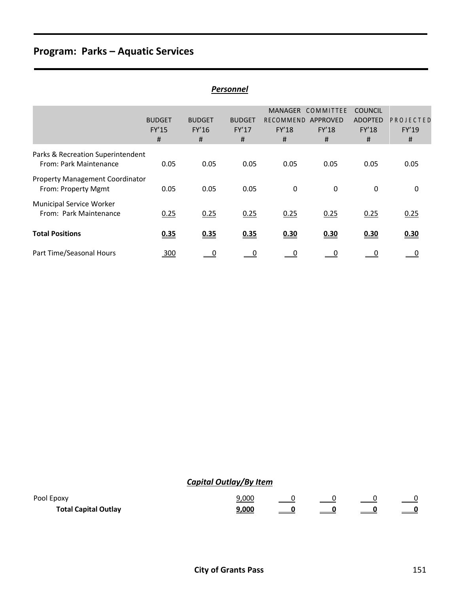|                                                               |                             |                             | Personnel                   |                                           |                                            |                                                       |                          |
|---------------------------------------------------------------|-----------------------------|-----------------------------|-----------------------------|-------------------------------------------|--------------------------------------------|-------------------------------------------------------|--------------------------|
|                                                               | <b>BUDGET</b><br>FY'15<br># | <b>BUDGET</b><br>FY'16<br># | <b>BUDGET</b><br>FY'17<br># | <b>MANAGER</b><br>RECOMMEND<br>FY'18<br># | COMMITTEE<br>APPROVED<br><b>FY'18</b><br># | <b>COUNCIL</b><br><b>ADOPTED</b><br><b>FY'18</b><br># | PROJECTED<br>FY'19<br>#  |
| Parks & Recreation Superintendent<br>From: Park Maintenance   | 0.05                        | 0.05                        | 0.05                        | 0.05                                      | 0.05                                       | 0.05                                                  | 0.05                     |
| <b>Property Management Coordinator</b><br>From: Property Mgmt | 0.05                        | 0.05                        | 0.05                        | 0                                         | 0                                          | 0                                                     | 0                        |
| Municipal Service Worker<br>From: Park Maintenance            | 0.25                        | 0.25                        | 0.25                        | 0.25                                      | 0.25                                       | 0.25                                                  | 0.25                     |
| <b>Total Positions</b>                                        | 0.35                        | 0.35                        | 0.35                        | 0.30                                      | 0.30                                       | 0.30                                                  | 0.30                     |
| Part Time/Seasonal Hours                                      | 300                         | $\overline{\phantom{0}}$    | $\overline{\phantom{0}}^0$  | $\overline{\phantom{0}}$                  | $\overline{\phantom{0}}$                   | $\overline{\phantom{0}}$                              | $\overline{\phantom{0}}$ |

# *Capital Outlay/By Item*

| Pool Epoxy                  | .000 |  |  |
|-----------------------------|------|--|--|
| <b>Total Capital Outlay</b> |      |  |  |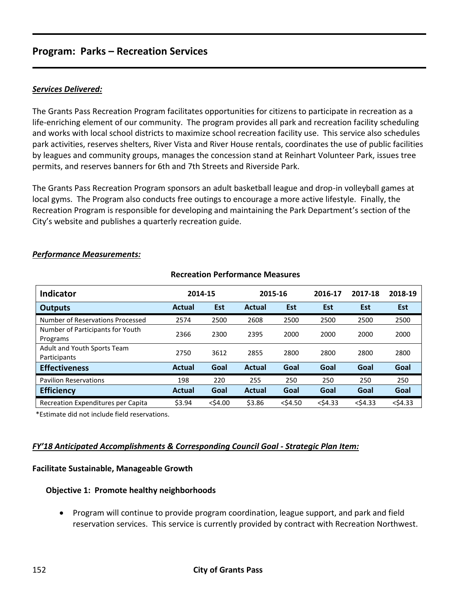# **Program: Parks – Recreation Services**

## *Services Delivered:*

The Grants Pass Recreation Program facilitates opportunities for citizens to participate in recreation as a life-enriching element of our community. The program provides all park and recreation facility scheduling and works with local school districts to maximize school recreation facility use. This service also schedules park activities, reserves shelters, River Vista and River House rentals, coordinates the use of public facilities by leagues and community groups, manages the concession stand at Reinhart Volunteer Park, issues tree permits, and reserves banners for 6th and 7th Streets and Riverside Park.

The Grants Pass Recreation Program sponsors an adult basketball league and drop-in volleyball games at local gyms. The Program also conducts free outings to encourage a more active lifestyle. Finally, the Recreation Program is responsible for developing and maintaining the Park Department's section of the City's website and publishes a quarterly recreation guide.

| <b>Indicator</b>                             |               | 2014-15    | 2015-16       |            | 2016-17    | 2017-18    | 2018-19    |
|----------------------------------------------|---------------|------------|---------------|------------|------------|------------|------------|
| <b>Outputs</b>                               | <b>Actual</b> | Est        | <b>Actual</b> | <b>Est</b> | <b>Est</b> | <b>Est</b> | <b>Est</b> |
| Number of Reservations Processed             | 2574          | 2500       | 2608          | 2500       | 2500       | 2500       | 2500       |
| Number of Participants for Youth<br>Programs | 2366          | 2300       | 2395          | 2000       | 2000       | 2000       | 2000       |
| Adult and Youth Sports Team<br>Participants  | 2750          | 3612       | 2855          | 2800       | 2800       | 2800       | 2800       |
| <b>Effectiveness</b>                         | <b>Actual</b> | Goal       | <b>Actual</b> | Goal       | Goal       | Goal       | Goal       |
| <b>Pavilion Reservations</b>                 | 198           | 220        | 255           | 250        | 250        | 250        | 250        |
| <b>Efficiency</b>                            | <b>Actual</b> | Goal       | <b>Actual</b> | Goal       | Goal       | Goal       | Goal       |
| Recreation Expenditures per Capita           | \$3.94        | $<$ \$4.00 | \$3.86        | $<$ \$4.50 | $<$ \$4.33 | $<$ \$4.33 | $<$ \$4.33 |

**Recreation Performance Measures**

#### *Performance Measurements:*

\*Estimate did not include field reservations.

## *FY'18 Anticipated Accomplishments & Corresponding Council Goal - Strategic Plan Item:*

#### **Facilitate Sustainable, Manageable Growth**

## **Objective 1: Promote healthy neighborhoods**

 Program will continue to provide program coordination, league support, and park and field reservation services. This service is currently provided by contract with Recreation Northwest.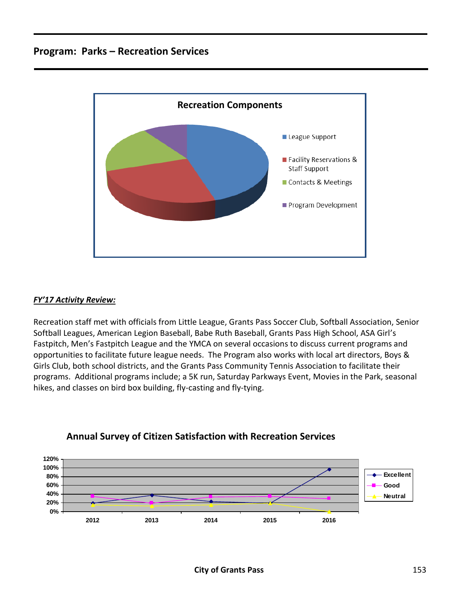# **Program: Parks – Recreation Services**



## *FY'17 Activity Review:*

Recreation staff met with officials from Little League, Grants Pass Soccer Club, Softball Association, Senior Softball Leagues, American Legion Baseball, Babe Ruth Baseball, Grants Pass High School, ASA Girl's Fastpitch, Men's Fastpitch League and the YMCA on several occasions to discuss current programs and opportunities to facilitate future league needs. The Program also works with local art directors, Boys & Girls Club, both school districts, and the Grants Pass Community Tennis Association to facilitate their programs. Additional programs include; a 5K run, Saturday Parkways Event, Movies in the Park, seasonal hikes, and classes on bird box building, fly-casting and fly-tying.



# **Annual Survey of Citizen Satisfaction with Recreation Services**